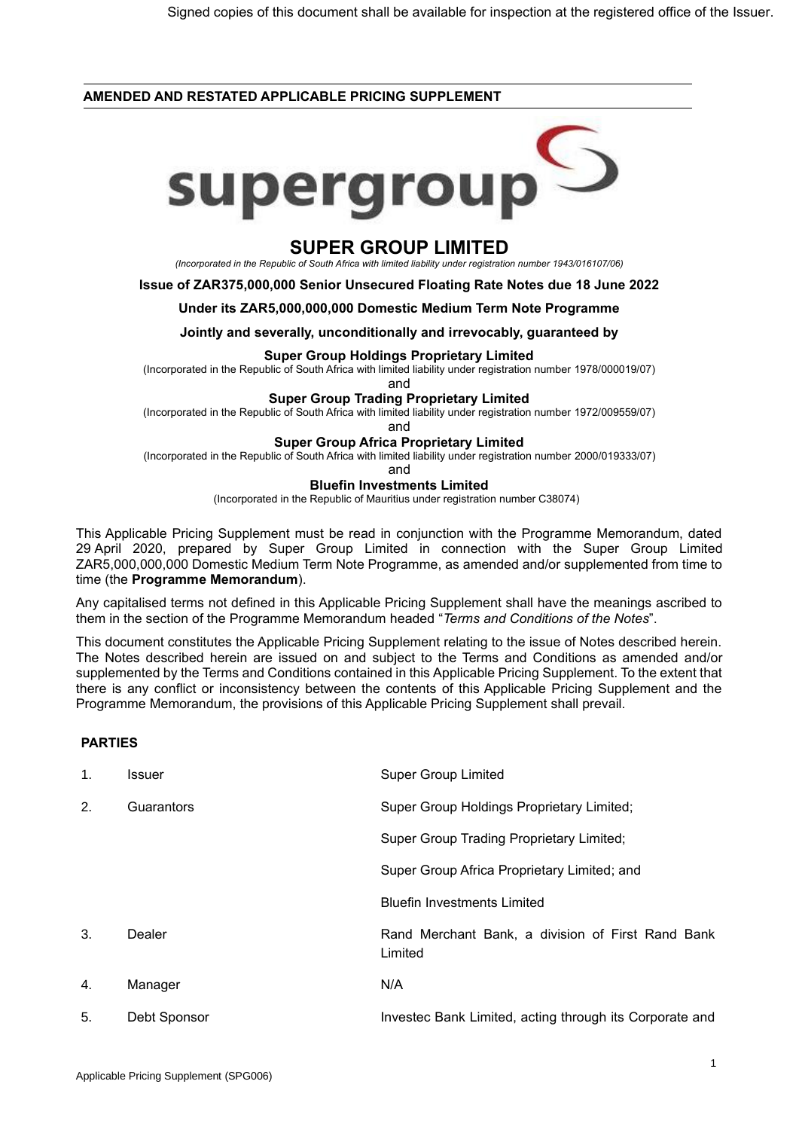### **AMENDED AND RESTATED APPLICABLE PRICING SUPPLEMENT**



# **SUPER GROUP LIMITED**

*(Incorporated in the Republic of South Africa with limited liability under registration number 1943/016107/06)*

**Issue of ZAR375,000,000 Senior Unsecured Floating Rate Notes due 18 June 2022**

#### **Under its ZAR5,000,000,000 Domestic Medium Term Note Programme**

**Jointly and severally, unconditionally and irrevocably, guaranteed by**

#### **Super Group Holdings Proprietary Limited**

(Incorporated in the Republic of South Africa with limited liability under registration number 1978/000019/07)

and

#### **Super Group Trading Proprietary Limited**

(Incorporated in the Republic of South Africa with limited liability under registration number 1972/009559/07)

and

### **Super Group Africa Proprietary Limited**

(Incorporated in the Republic of South Africa with limited liability under registration number 2000/019333/07)

and

#### **Bluefin Investments Limited**

(Incorporated in the Republic of Mauritius under registration number C38074)

This Applicable Pricing Supplement must be read in conjunction with the Programme Memorandum, dated 29 April 2020, prepared by Super Group Limited in connection with the Super Group Limited ZAR5,000,000,000 Domestic Medium Term Note Programme, as amended and/or supplemented from time to time (the **Programme Memorandum**).

Any capitalised terms not defined in this Applicable Pricing Supplement shall have the meanings ascribed to them in the section of the Programme Memorandum headed "*Terms and Conditions of the Notes*".

This document constitutes the Applicable Pricing Supplement relating to the issue of Notes described herein. The Notes described herein are issued on and subject to the Terms and Conditions as amended and/or supplemented by the Terms and Conditions contained in this Applicable Pricing Supplement. To the extent that there is any conflict or inconsistency between the contents of this Applicable Pricing Supplement and the Programme Memorandum, the provisions of this Applicable Pricing Supplement shall prevail.

## **PARTIES**

| 1. | Issuer       | <b>Super Group Limited</b>                                   |
|----|--------------|--------------------------------------------------------------|
| 2. | Guarantors   | Super Group Holdings Proprietary Limited;                    |
|    |              | Super Group Trading Proprietary Limited;                     |
|    |              | Super Group Africa Proprietary Limited; and                  |
|    |              | <b>Bluefin Investments Limited</b>                           |
| 3. | Dealer       | Rand Merchant Bank, a division of First Rand Bank<br>Limited |
| 4. | Manager      | N/A                                                          |
| 5. | Debt Sponsor | Investec Bank Limited, acting through its Corporate and      |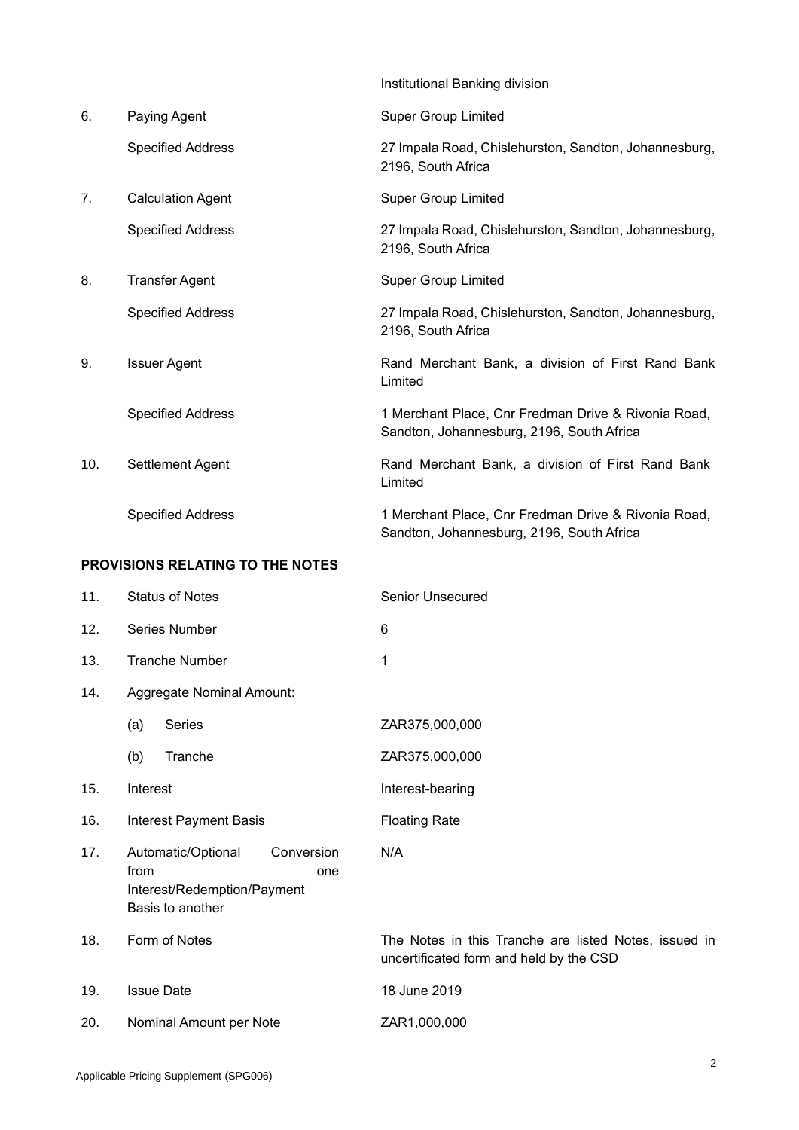|                                         |                           | Institutional Banking division                                                                   |  |  |
|-----------------------------------------|---------------------------|--------------------------------------------------------------------------------------------------|--|--|
| 6.                                      | Paying Agent              | <b>Super Group Limited</b>                                                                       |  |  |
|                                         | <b>Specified Address</b>  | 27 Impala Road, Chislehurston, Sandton, Johannesburg,<br>2196, South Africa                      |  |  |
| 7.                                      | <b>Calculation Agent</b>  | <b>Super Group Limited</b>                                                                       |  |  |
|                                         | <b>Specified Address</b>  | 27 Impala Road, Chislehurston, Sandton, Johannesburg,<br>2196, South Africa                      |  |  |
| 8.                                      | <b>Transfer Agent</b>     | <b>Super Group Limited</b>                                                                       |  |  |
|                                         | <b>Specified Address</b>  | 27 Impala Road, Chislehurston, Sandton, Johannesburg,<br>2196, South Africa                      |  |  |
| 9.                                      | <b>Issuer Agent</b>       | Rand Merchant Bank, a division of First Rand Bank<br>Limited                                     |  |  |
|                                         | <b>Specified Address</b>  | 1 Merchant Place, Cnr Fredman Drive & Rivonia Road,<br>Sandton, Johannesburg, 2196, South Africa |  |  |
| 10.                                     | Settlement Agent          | Rand Merchant Bank, a division of First Rand Bank<br>Limited                                     |  |  |
|                                         | <b>Specified Address</b>  | 1 Merchant Place, Cnr Fredman Drive & Rivonia Road,<br>Sandton, Johannesburg, 2196, South Africa |  |  |
| <b>PROVISIONS RELATING TO THE NOTES</b> |                           |                                                                                                  |  |  |
| 11.                                     | <b>Status of Notes</b>    | Senior Unsecured                                                                                 |  |  |
| 12.                                     | Series Number             | 6                                                                                                |  |  |
| 13.                                     | <b>Tranche Number</b>     | 1                                                                                                |  |  |
| 14.                                     | Aggregate Nominal Amount: |                                                                                                  |  |  |
|                                         | <b>Series</b><br>(a)      | ZAR375,000,000                                                                                   |  |  |

N/A

- (b) Tranche ZAR375,000,000
- 15. Interest **Interest**
- 16. Interest Payment Basis Floating Rate
- 17. Automatic/Optional Conversion from one Interest/Redemption/Payment Basis to another
- 
- 19. Issue Date 18 June 2019
- 20. Nominal Amount per Note ZAR1,000,000

18. Form of Notes The Notes in this Tranche are listed Notes, issued in uncertificated form and held by the CSD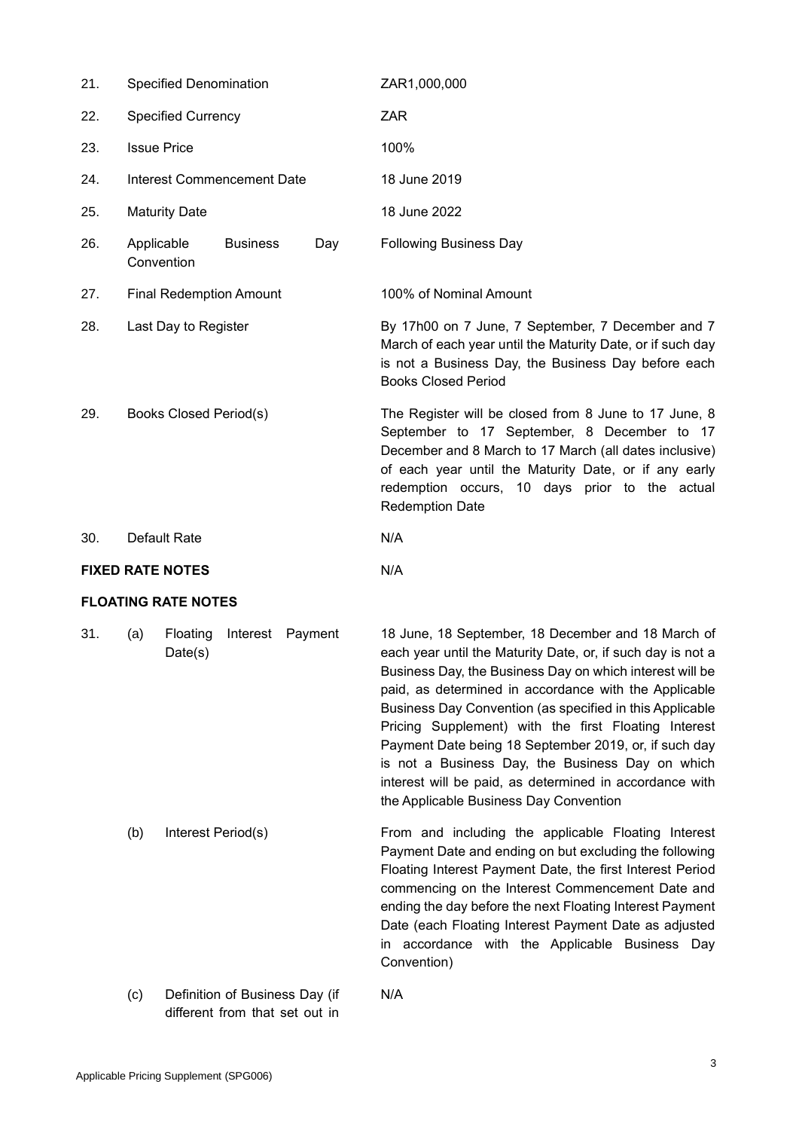| 21. | Specified Denomination            |                    |         | ZAR1,000,000                                                                                                                                                                                                                                                                                                                                                                                                                                                                                                                                                                 |
|-----|-----------------------------------|--------------------|---------|------------------------------------------------------------------------------------------------------------------------------------------------------------------------------------------------------------------------------------------------------------------------------------------------------------------------------------------------------------------------------------------------------------------------------------------------------------------------------------------------------------------------------------------------------------------------------|
| 22. | <b>Specified Currency</b>         |                    |         | <b>ZAR</b>                                                                                                                                                                                                                                                                                                                                                                                                                                                                                                                                                                   |
| 23. | <b>Issue Price</b>                |                    |         | 100%                                                                                                                                                                                                                                                                                                                                                                                                                                                                                                                                                                         |
| 24. | <b>Interest Commencement Date</b> |                    |         | 18 June 2019                                                                                                                                                                                                                                                                                                                                                                                                                                                                                                                                                                 |
| 25. | <b>Maturity Date</b>              |                    |         | 18 June 2022                                                                                                                                                                                                                                                                                                                                                                                                                                                                                                                                                                 |
| 26. | Applicable<br>Convention          | <b>Business</b>    | Day     | <b>Following Business Day</b>                                                                                                                                                                                                                                                                                                                                                                                                                                                                                                                                                |
| 27. | <b>Final Redemption Amount</b>    |                    |         | 100% of Nominal Amount                                                                                                                                                                                                                                                                                                                                                                                                                                                                                                                                                       |
| 28. | Last Day to Register              |                    |         | By 17h00 on 7 June, 7 September, 7 December and 7<br>March of each year until the Maturity Date, or if such day<br>is not a Business Day, the Business Day before each<br><b>Books Closed Period</b>                                                                                                                                                                                                                                                                                                                                                                         |
| 29. | <b>Books Closed Period(s)</b>     |                    |         | The Register will be closed from 8 June to 17 June, 8<br>September to 17 September, 8 December to 17<br>December and 8 March to 17 March (all dates inclusive)<br>of each year until the Maturity Date, or if any early<br>redemption occurs, 10 days prior to the actual<br><b>Redemption Date</b>                                                                                                                                                                                                                                                                          |
| 30. | Default Rate                      |                    |         | N/A                                                                                                                                                                                                                                                                                                                                                                                                                                                                                                                                                                          |
|     | <b>FIXED RATE NOTES</b>           |                    |         | N/A                                                                                                                                                                                                                                                                                                                                                                                                                                                                                                                                                                          |
|     | <b>FLOATING RATE NOTES</b>        |                    |         |                                                                                                                                                                                                                                                                                                                                                                                                                                                                                                                                                                              |
| 31. | Floating<br>(a)<br>Date(s)        | Interest           | Payment | 18 June, 18 September, 18 December and 18 March of<br>each year until the Maturity Date, or, if such day is not a<br>Business Day, the Business Day on which interest will be<br>paid, as determined in accordance with the Applicable<br>Business Day Convention (as specified in this Applicable<br>Pricing Supplement) with the first Floating Interest<br>Payment Date being 18 September 2019, or, if such day<br>is not a Business Day, the Business Day on which<br>interest will be paid, as determined in accordance with<br>the Applicable Business Day Convention |
|     | (b)                               | Interest Period(s) |         | From and including the applicable Floating Interest<br>Payment Date and ending on but excluding the following<br>Floating Interest Payment Date, the first Interest Period<br>commencing on the Interest Commencement Date and<br>ending the day before the next Floating Interest Payment<br>Date (each Floating Interest Payment Date as adjusted                                                                                                                                                                                                                          |

Convention)

N/A

(c) Definition of Business Day (if different from that set out in

in accordance with the Applicable Business Day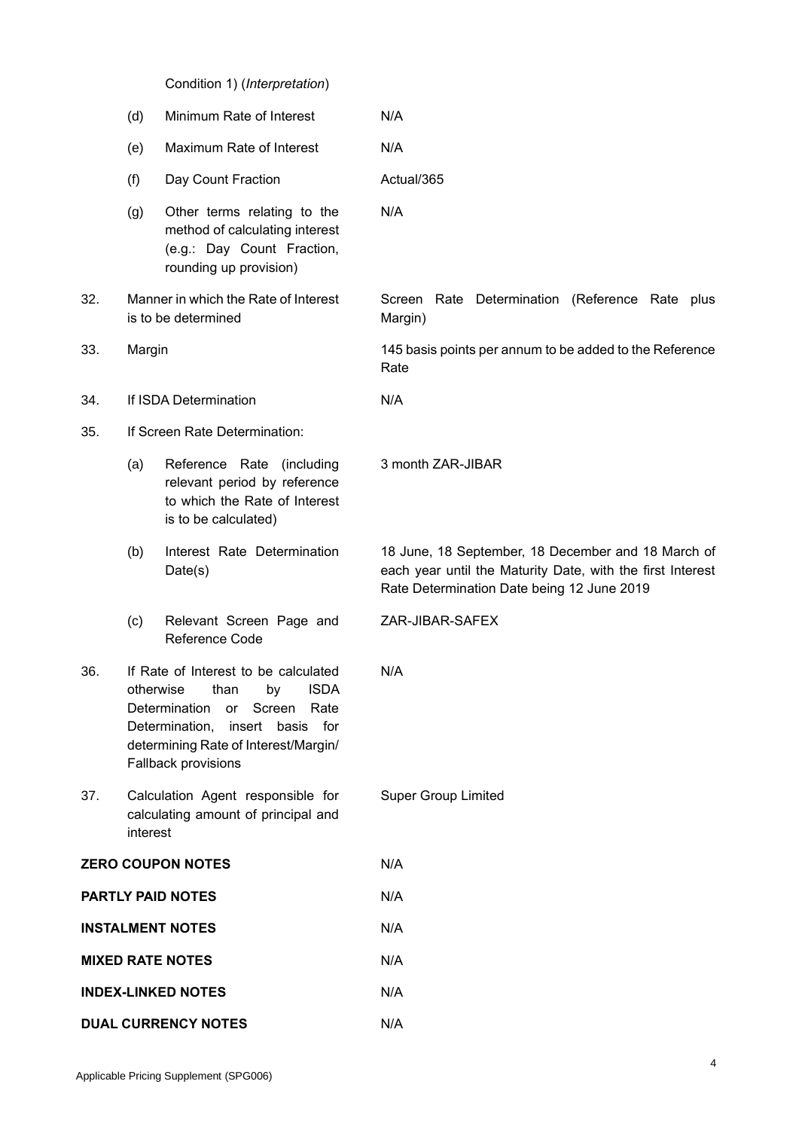Condition 1) (*Interpretation*)

|                            | (d)                                                                                                                                                                                                                       | Minimum Rate of Interest                                                                                              | N/A                                                                                                                                                            |
|----------------------------|---------------------------------------------------------------------------------------------------------------------------------------------------------------------------------------------------------------------------|-----------------------------------------------------------------------------------------------------------------------|----------------------------------------------------------------------------------------------------------------------------------------------------------------|
|                            | (e)                                                                                                                                                                                                                       | Maximum Rate of Interest                                                                                              | N/A                                                                                                                                                            |
|                            | (f)                                                                                                                                                                                                                       | Day Count Fraction                                                                                                    | Actual/365                                                                                                                                                     |
|                            | (g)                                                                                                                                                                                                                       | Other terms relating to the<br>method of calculating interest<br>(e.g.: Day Count Fraction,<br>rounding up provision) | N/A                                                                                                                                                            |
| 32.                        |                                                                                                                                                                                                                           | Manner in which the Rate of Interest<br>is to be determined                                                           | Screen Rate Determination (Reference Rate plus<br>Margin)                                                                                                      |
| 33.                        | Margin                                                                                                                                                                                                                    |                                                                                                                       | 145 basis points per annum to be added to the Reference<br>Rate                                                                                                |
| 34.                        |                                                                                                                                                                                                                           | If ISDA Determination                                                                                                 | N/A                                                                                                                                                            |
| 35.                        | If Screen Rate Determination:                                                                                                                                                                                             |                                                                                                                       |                                                                                                                                                                |
|                            | (a)                                                                                                                                                                                                                       | Reference Rate (including<br>relevant period by reference<br>to which the Rate of Interest<br>is to be calculated)    | 3 month ZAR-JIBAR                                                                                                                                              |
|                            | (b)                                                                                                                                                                                                                       | Interest Rate Determination<br>Date(s)                                                                                | 18 June, 18 September, 18 December and 18 March of<br>each year until the Maturity Date, with the first Interest<br>Rate Determination Date being 12 June 2019 |
|                            | (c)                                                                                                                                                                                                                       | Relevant Screen Page and<br>Reference Code                                                                            | ZAR-JIBAR-SAFEX                                                                                                                                                |
| 36.                        | If Rate of Interest to be calculated<br><b>ISDA</b><br>otherwise<br>than<br>by<br>Determination<br>Screen<br>Rate<br>or<br>Determination, insert basis for<br>determining Rate of Interest/Margin/<br>Fallback provisions |                                                                                                                       | N/A                                                                                                                                                            |
| 37.                        | interest                                                                                                                                                                                                                  | Calculation Agent responsible for<br>calculating amount of principal and                                              | <b>Super Group Limited</b>                                                                                                                                     |
|                            |                                                                                                                                                                                                                           | <b>ZERO COUPON NOTES</b>                                                                                              | N/A                                                                                                                                                            |
|                            |                                                                                                                                                                                                                           | <b>PARTLY PAID NOTES</b>                                                                                              | N/A                                                                                                                                                            |
|                            |                                                                                                                                                                                                                           | <b>INSTALMENT NOTES</b>                                                                                               | N/A                                                                                                                                                            |
| <b>MIXED RATE NOTES</b>    |                                                                                                                                                                                                                           |                                                                                                                       | N/A                                                                                                                                                            |
|                            |                                                                                                                                                                                                                           | <b>INDEX-LINKED NOTES</b>                                                                                             | N/A                                                                                                                                                            |
| <b>DUAL CURRENCY NOTES</b> |                                                                                                                                                                                                                           |                                                                                                                       | N/A                                                                                                                                                            |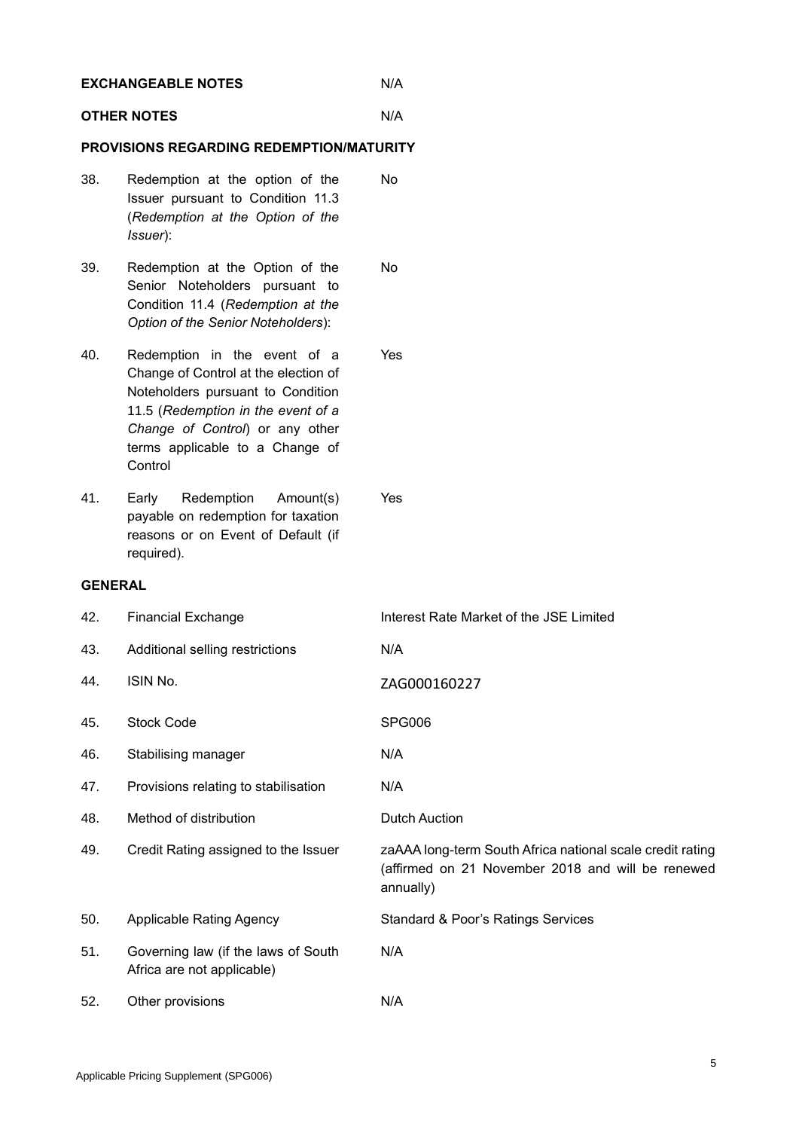| <b>EXCHANGEABLE NOTES</b>                       |                                                                                                                                                                                                                                  | N/A                                                                                                                         |  |  |  |
|-------------------------------------------------|----------------------------------------------------------------------------------------------------------------------------------------------------------------------------------------------------------------------------------|-----------------------------------------------------------------------------------------------------------------------------|--|--|--|
|                                                 | <b>OTHER NOTES</b>                                                                                                                                                                                                               | N/A                                                                                                                         |  |  |  |
| <b>PROVISIONS REGARDING REDEMPTION/MATURITY</b> |                                                                                                                                                                                                                                  |                                                                                                                             |  |  |  |
| 38.                                             | Redemption at the option of the<br>Issuer pursuant to Condition 11.3<br>(Redemption at the Option of the<br>Issuer):                                                                                                             | No                                                                                                                          |  |  |  |
| 39.                                             | Redemption at the Option of the<br>Senior Noteholders pursuant to<br>Condition 11.4 (Redemption at the<br>Option of the Senior Noteholders):                                                                                     | No                                                                                                                          |  |  |  |
| 40.                                             | Redemption in the event of a<br>Change of Control at the election of<br>Noteholders pursuant to Condition<br>11.5 (Redemption in the event of a<br>Change of Control) or any other<br>terms applicable to a Change of<br>Control | Yes                                                                                                                         |  |  |  |
| 41.                                             | Redemption<br>Early<br>Amount(s)<br>payable on redemption for taxation<br>reasons or on Event of Default (if<br>required).                                                                                                       | <b>Yes</b>                                                                                                                  |  |  |  |
| <b>GENERAL</b>                                  |                                                                                                                                                                                                                                  |                                                                                                                             |  |  |  |
| 42.                                             | <b>Financial Exchange</b>                                                                                                                                                                                                        | Interest Rate Market of the JSE Limited                                                                                     |  |  |  |
| 43.                                             | Additional selling restrictions                                                                                                                                                                                                  | N/A                                                                                                                         |  |  |  |
| 44.                                             | ISIN No.                                                                                                                                                                                                                         | ZAG000160227                                                                                                                |  |  |  |
| 45.                                             | <b>Stock Code</b>                                                                                                                                                                                                                | <b>SPG006</b>                                                                                                               |  |  |  |
| 46.                                             | Stabilising manager                                                                                                                                                                                                              | N/A                                                                                                                         |  |  |  |
| 47.                                             | Provisions relating to stabilisation                                                                                                                                                                                             | N/A                                                                                                                         |  |  |  |
| 48.                                             | Method of distribution                                                                                                                                                                                                           | <b>Dutch Auction</b>                                                                                                        |  |  |  |
| 49.                                             | Credit Rating assigned to the Issuer                                                                                                                                                                                             | zaAAA long-term South Africa national scale credit rating<br>(affirmed on 21 November 2018 and will be renewed<br>annually) |  |  |  |
| 50.                                             | <b>Applicable Rating Agency</b>                                                                                                                                                                                                  | Standard & Poor's Ratings Services                                                                                          |  |  |  |
| 51.                                             | Governing law (if the laws of South<br>Africa are not applicable)                                                                                                                                                                | N/A                                                                                                                         |  |  |  |
| 52.                                             | Other provisions                                                                                                                                                                                                                 | N/A                                                                                                                         |  |  |  |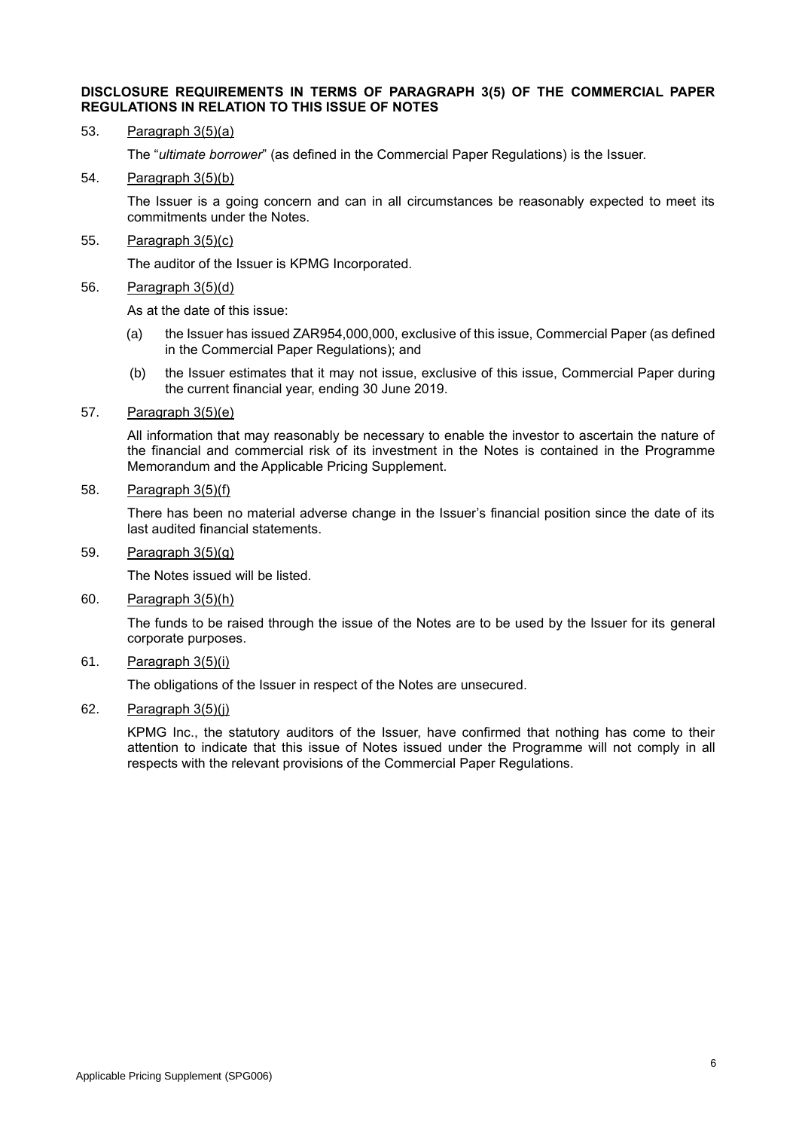#### **DISCLOSURE REQUIREMENTS IN TERMS OF PARAGRAPH 3(5) OF THE COMMERCIAL PAPER REGULATIONS IN RELATION TO THIS ISSUE OF NOTES**

#### 53. Paragraph 3(5)(a)

The "*ultimate borrower*" (as defined in the Commercial Paper Regulations) is the Issuer.

#### 54. Paragraph 3(5)(b)

The Issuer is a going concern and can in all circumstances be reasonably expected to meet its commitments under the Notes.

#### 55. Paragraph 3(5)(c)

The auditor of the Issuer is KPMG Incorporated.

#### 56. Paragraph 3(5)(d)

As at the date of this issue:

- (a) the Issuer has issued ZAR954,000,000, exclusive of this issue, Commercial Paper (as defined in the Commercial Paper Regulations); and
- (b) the Issuer estimates that it may not issue, exclusive of this issue, Commercial Paper during the current financial year, ending 30 June 2019.

#### 57. Paragraph 3(5)(e)

All information that may reasonably be necessary to enable the investor to ascertain the nature of the financial and commercial risk of its investment in the Notes is contained in the Programme Memorandum and the Applicable Pricing Supplement.

### 58. Paragraph 3(5)(f)

There has been no material adverse change in the Issuer's financial position since the date of its last audited financial statements.

### 59. Paragraph 3(5)(g)

The Notes issued will be listed.

#### 60. Paragraph 3(5)(h)

The funds to be raised through the issue of the Notes are to be used by the Issuer for its general corporate purposes.

## 61. Paragraph 3(5)(i)

The obligations of the Issuer in respect of the Notes are unsecured.

## 62. Paragraph 3(5)(j)

KPMG Inc., the statutory auditors of the Issuer, have confirmed that nothing has come to their attention to indicate that this issue of Notes issued under the Programme will not comply in all respects with the relevant provisions of the Commercial Paper Regulations.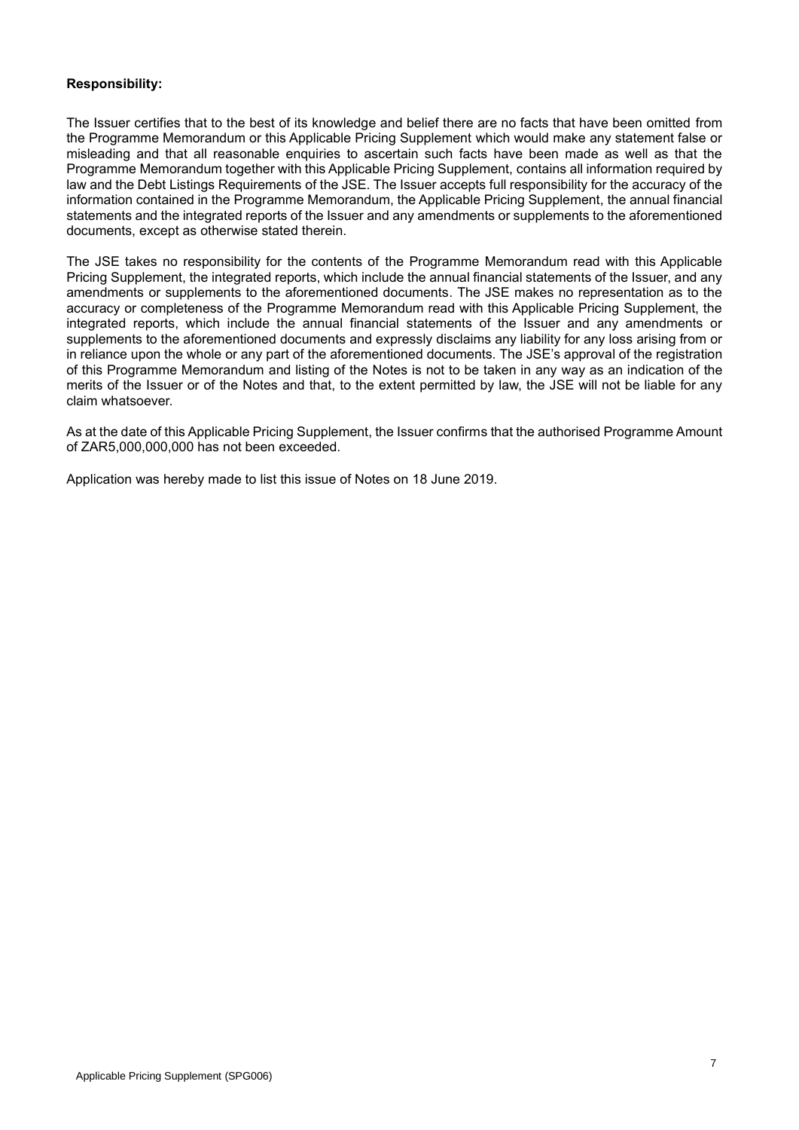## **Responsibility:**

The Issuer certifies that to the best of its knowledge and belief there are no facts that have been omitted from the Programme Memorandum or this Applicable Pricing Supplement which would make any statement false or misleading and that all reasonable enquiries to ascertain such facts have been made as well as that the Programme Memorandum together with this Applicable Pricing Supplement, contains all information required by law and the Debt Listings Requirements of the JSE. The Issuer accepts full responsibility for the accuracy of the information contained in the Programme Memorandum, the Applicable Pricing Supplement, the annual financial statements and the integrated reports of the Issuer and any amendments or supplements to the aforementioned documents, except as otherwise stated therein.

The JSE takes no responsibility for the contents of the Programme Memorandum read with this Applicable Pricing Supplement, the integrated reports, which include the annual financial statements of the Issuer, and any amendments or supplements to the aforementioned documents. The JSE makes no representation as to the accuracy or completeness of the Programme Memorandum read with this Applicable Pricing Supplement, the integrated reports, which include the annual financial statements of the Issuer and any amendments or supplements to the aforementioned documents and expressly disclaims any liability for any loss arising from or in reliance upon the whole or any part of the aforementioned documents. The JSE's approval of the registration of this Programme Memorandum and listing of the Notes is not to be taken in any way as an indication of the merits of the Issuer or of the Notes and that, to the extent permitted by law, the JSE will not be liable for any claim whatsoever.

As at the date of this Applicable Pricing Supplement, the Issuer confirms that the authorised Programme Amount of ZAR5,000,000,000 has not been exceeded.

Application was hereby made to list this issue of Notes on 18 June 2019.